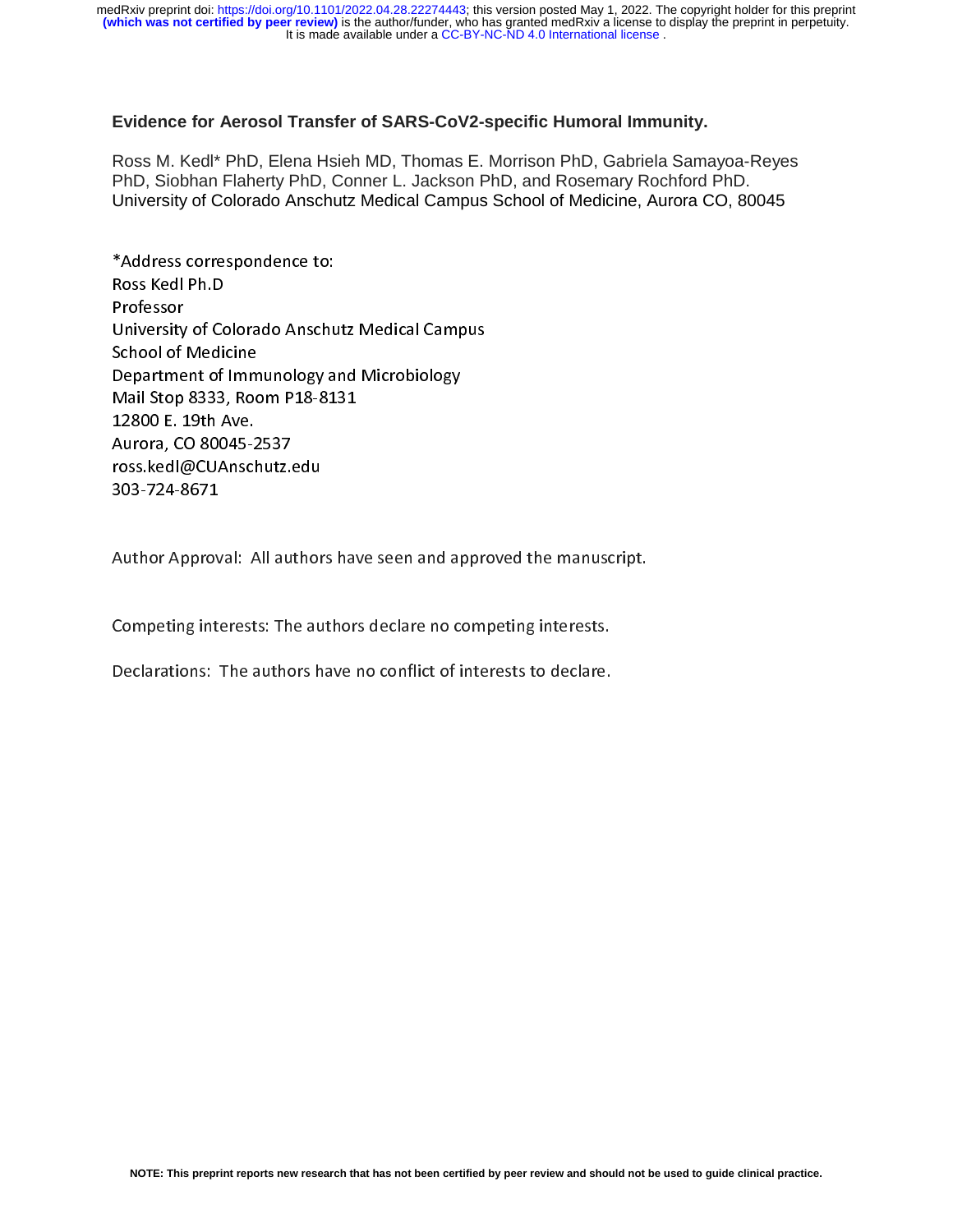# **Evidence for Aerosol Transfer of SARS-CoV2-specific Humoral Immunity.**

Ross M. Kedl\* PhD, Elena Hsieh MD, Thomas E. Morrison PhD, Gabriela Samayoa-Reyes PhD, Siobhan Flaherty PhD, Conner L. Jackson PhD, and Rosemary Rochford PhD. University of Colorado Anschutz Medical Campus School of Medicine, Aurora CO, 80045

Ross Kedl Ph.D<br>Professor<br>University of Colorado Anschu<br>School of Medicine<br>Department of Immunology an<br>Mail Stop 8333, Room P18-81 Professor<br>University of Co<br>School of Media<br>Department of<br>Mail Stop 8333<br>12800 E. 19th A Professor<br>
University<br>
School of<br>
Departme<br>
Mail Stop<br>
12800 E.<br>
Aurora, Co School of Medicine<br>Department of Immunology and Microbiology<br>Mail Stop 8333, Room P18-8131<br>12800 E. 19th Ave.<br>Aurora, CO 80045-2537<br>ross.kedl@CUAnschutz.edu Department of Imm<br>Mail Stop 8333, Roc<br>12800 E. 19th Ave.<br>Aurora, CO 80045-2<br>ross.kedl@CUAnsch<br>303-724-8671 Frammunology and Microbiology<br>Mail Stop 8333, Room P18-8131<br>12800 E. 19th Ave.<br>Aurora, CO 80045-2537<br>ross.kedl@CUAnschutz.edu<br>303-724-8671 Mail Stop 833, March 2012<br>12800 E. 19th Ave.<br>Aurora, CO 80045-2537<br>ross.ked|@CUAnschutz.edu<br>303-724-8671 ----- -- -- --- ---<br>Aurora, CO 80045-2<br>ross.ked|@CUAnsch<br>303-724-8671<br>Author Approval: P Aurora, 2001<br>The Book Conschutz.com<br>303-724-8671<br>Author Approval: All au ross.kedu.com<br>303-724-8671<br>Author Approval: All author<br>C

Author Approv<br>203-<br>20 Sempeting inte  $\frac{1}{2}$  $\frac{1}{2}$ 

Competing interests: The authors declare no competing interests. (<br>|<br>|  $\frac{1}{2}$ 

Declarations: The authors have no conflict of interests to declare.  $\overline{a}$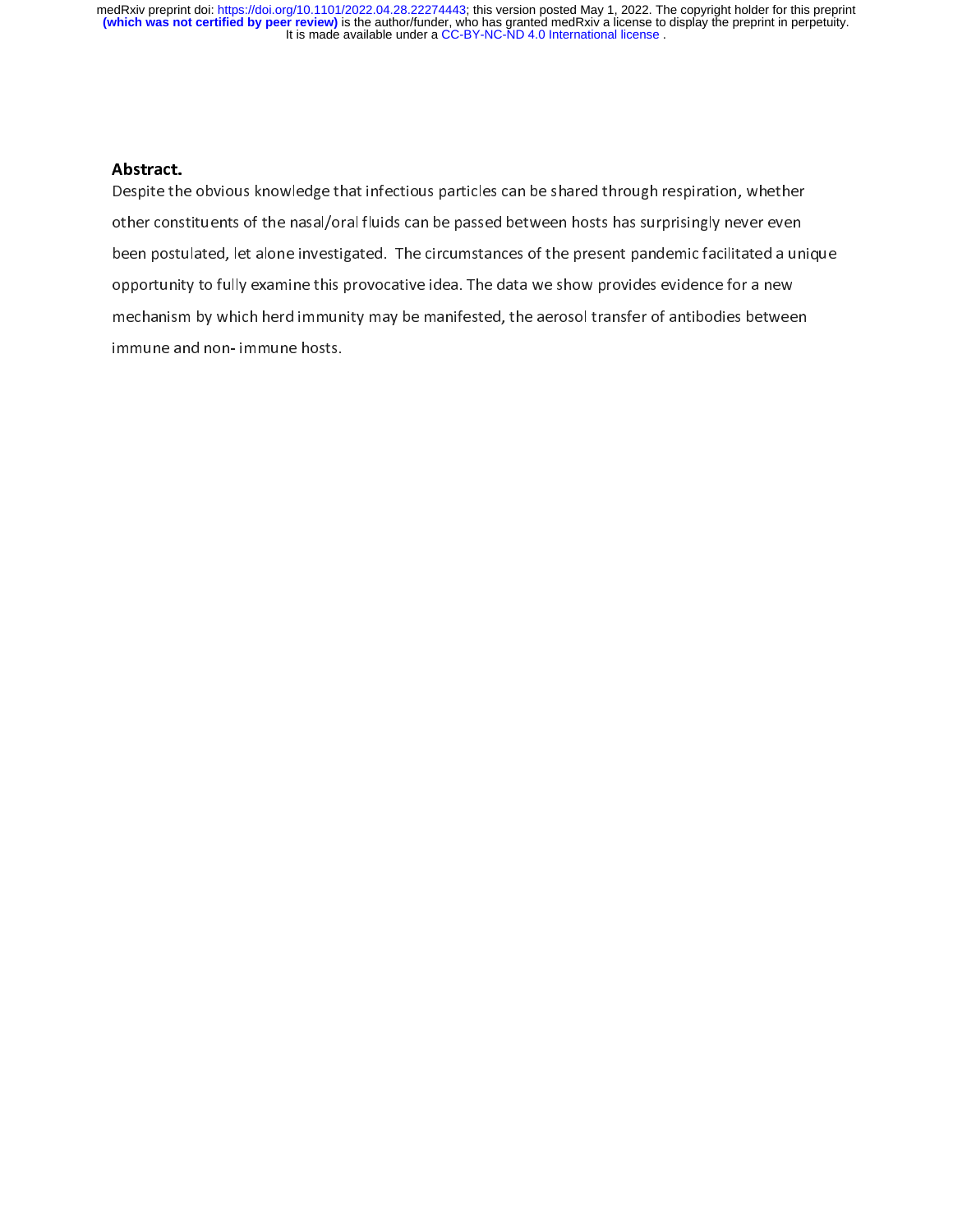# Abstract.<br>Deceite th

/<br>[<br>k /<br>[<br>( Despite the obvious knowledge that infectious particles can be shared through respiration, whether other constituents of the nasal/oral fluids can be passed between hosts has surprisingly never even been postulated, let alone investigated. The circumstances of the present pandemic facilitated a unique opportunity to fully examine this provocative idea. The data we show provides evidence for a new mechanism by which herd immunity may be manifested, the aerosol transfer of antibodies between immune and non- immune hosts.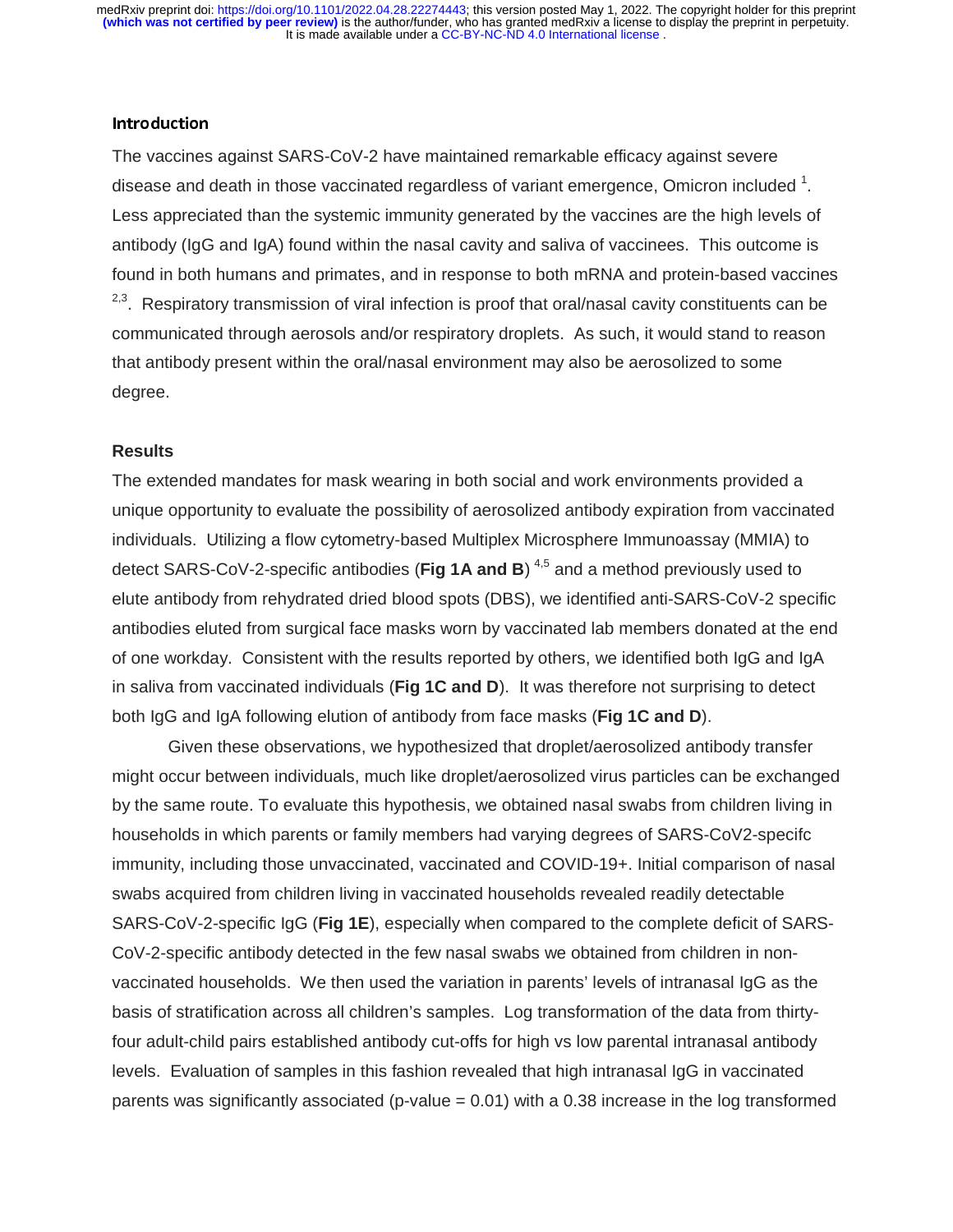## Introduction

The vaccines against SARS-CoV-2 have maintained remarkable efficacy against severe disease and death in those vaccinated regardless of variant emergence, Omicron included  $^{1}$ . Less appreciated than the systemic immunity generated by the vaccines are the high levels of antibody (IgG and IgA) found within the nasal cavity and saliva of vaccinees. This outcome is found in both humans and primates, and in response to both mRNA and protein-based vaccines <sup>2,3</sup>. Respiratory transmission of viral infection is proof that oral/nasal cavity constituents can be communicated through aerosols and/or respiratory droplets. As such, it would stand to reason that antibody present within the oral/nasal environment may also be aerosolized to some degree.

#### **Results**

The extended mandates for mask wearing in both social and work environments provided a unique opportunity to evaluate the possibility of aerosolized antibody expiration from vaccinated individuals. Utilizing a flow cytometry-based Multiplex Microsphere Immunoassay (MMIA) to detect SARS-CoV-2-specific antibodies (Fig 1A and B)<sup>4,5</sup> and a method previously used to ,<br>;(<br>; elute antibody from rehydrated dried blood spots (DBS), we identified anti-SARS-CoV-2 specific antibodies eluted from surgical face masks worn by vaccinated lab members donated at the end of one workday. Consistent with the results reported by others, we identified both IgG and IgA in saliva from vaccinated individuals (**Fig 1C and D**). It was therefore not surprising to detect both IgG and IgA following elution of antibody from face masks (**Fig 1C and D**).

 Given these observations, we hypothesized that droplet/aerosolized antibody transfer might occur between individuals, much like droplet/aerosolized virus particles can be exchanged by the same route. To evaluate this hypothesis, we obtained nasal swabs from children living in households in which parents or family members had varying degrees of SARS-CoV2-specifc immunity, including those unvaccinated, vaccinated and COVID-19+. Initial comparison of nasal swabs acquired from children living in vaccinated households revealed readily detectable SARS-CoV-2-specific IgG (**Fig 1E**), especially when compared to the complete deficit of SARS-CoV-2-specific antibody detected in the few nasal swabs we obtained from children in nonvaccinated households. We then used the variation in parents' levels of intranasal IgG as the basis of stratification across all children's samples. Log transformation of the data from thirtyfour adult-child pairs established antibody cut-offs for high vs low parental intranasal antibody levels. Evaluation of samples in this fashion revealed that high intranasal IgG in vaccinated parents was significantly associated (p-value  $= 0.01$ ) with a 0.38 increase in the log transformed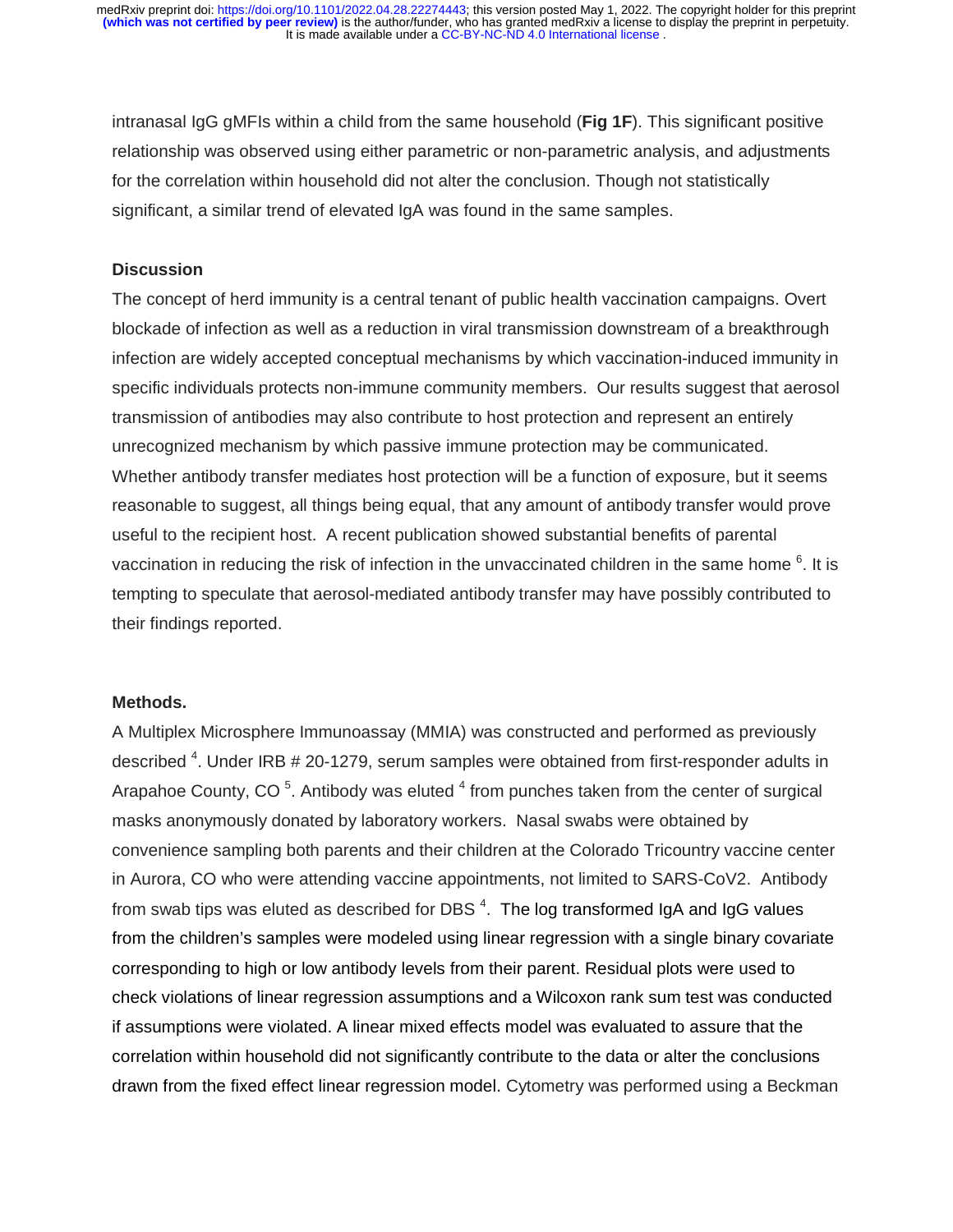intranasal IgG gMFIs within a child from the same household (**Fig 1F**). This significant positive relationship was observed using either parametric or non-parametric analysis, and adjustments for the correlation within household did not alter the conclusion. Though not statistically significant, a similar trend of elevated IgA was found in the same samples.

## **Discussion**

The concept of herd immunity is a central tenant of public health vaccination campaigns. Overt blockade of infection as well as a reduction in viral transmission downstream of a breakthrough infection are widely accepted conceptual mechanisms by which vaccination-induced immunity in specific individuals protects non-immune community members. Our results suggest that aerosol transmission of antibodies may also contribute to host protection and represent an entirely unrecognized mechanism by which passive immune protection may be communicated. Whether antibody transfer mediates host protection will be a function of exposure, but it seems reasonable to suggest, all things being equal, that any amount of antibody transfer would prove useful to the recipient host. A recent publication showed substantial benefits of parental vaccination in reducing the risk of infection in the unvaccinated children in the same home  $6$ . It is tempting to speculate that aerosol-mediated antibody transfer may have possibly contributed to their findings reported.

## **Methods.**

A Multiplex Microsphere Immunoassay (MMIA) was constructed and performed as previously described <sup>4</sup>. Under IRB # 20-1279, serum samples were obtained from first-responder adults in Arapahoe County, CO<sup>5</sup>. Antibody was eluted  $^4$  from punches taken from the center of surgical masks anonymously donated by laboratory workers. Nasal swabs were obtained by convenience sampling both parents and their children at the Colorado Tricountry vaccine center in Aurora, CO who were attending vaccine appointments, not limited to SARS-CoV2. Antibody from swab tips was eluted as described for DBS  $^4$ . The log transformed IgA and IgG values from the children's samples were modeled using linear regression with a single binary covariate corresponding to high or low antibody levels from their parent. Residual plots were used to check violations of linear regression assumptions and a Wilcoxon rank sum test was conducted if assumptions were violated. A linear mixed effects model was evaluated to assure that the correlation within household did not significantly contribute to the data or alter the conclusions drawn from the fixed effect linear regression model. Cytometry was performed using a Beckman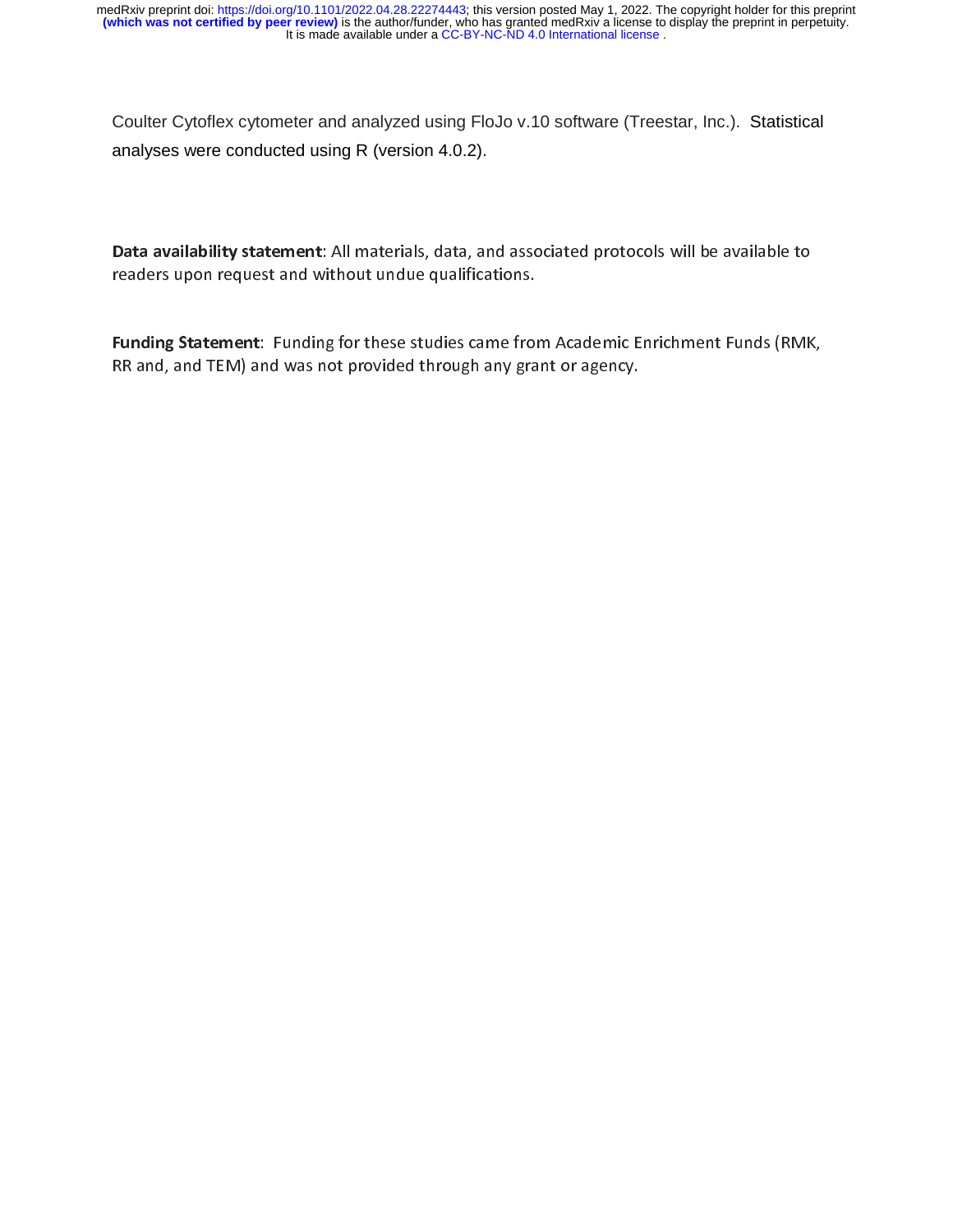Coulter Cytoflex cytometer and analyzed using FloJo v.10 software (Treestar, Inc.). Statistical analyses were conducted using R (version 4.0.2).

Data availability statement: All materials, data, and associated protocols will be available to<br>readers upon request and without undue qualifications.<br>Funding Statement: Funding for these studies came from Academic Enrichm **Funding Statement**: Funding for these studies came from<br>RR and, and TEM) and was not provided through any gra  $\mathsf{F}$  $\frac{1}{2}$ Funding Statement: Funding for these studies came from Academic Enrichment Funds (RMK, RR and, and TEM) and was not provided through any grant or agency. RR and, and TEM) and was not provided through any grant or agency.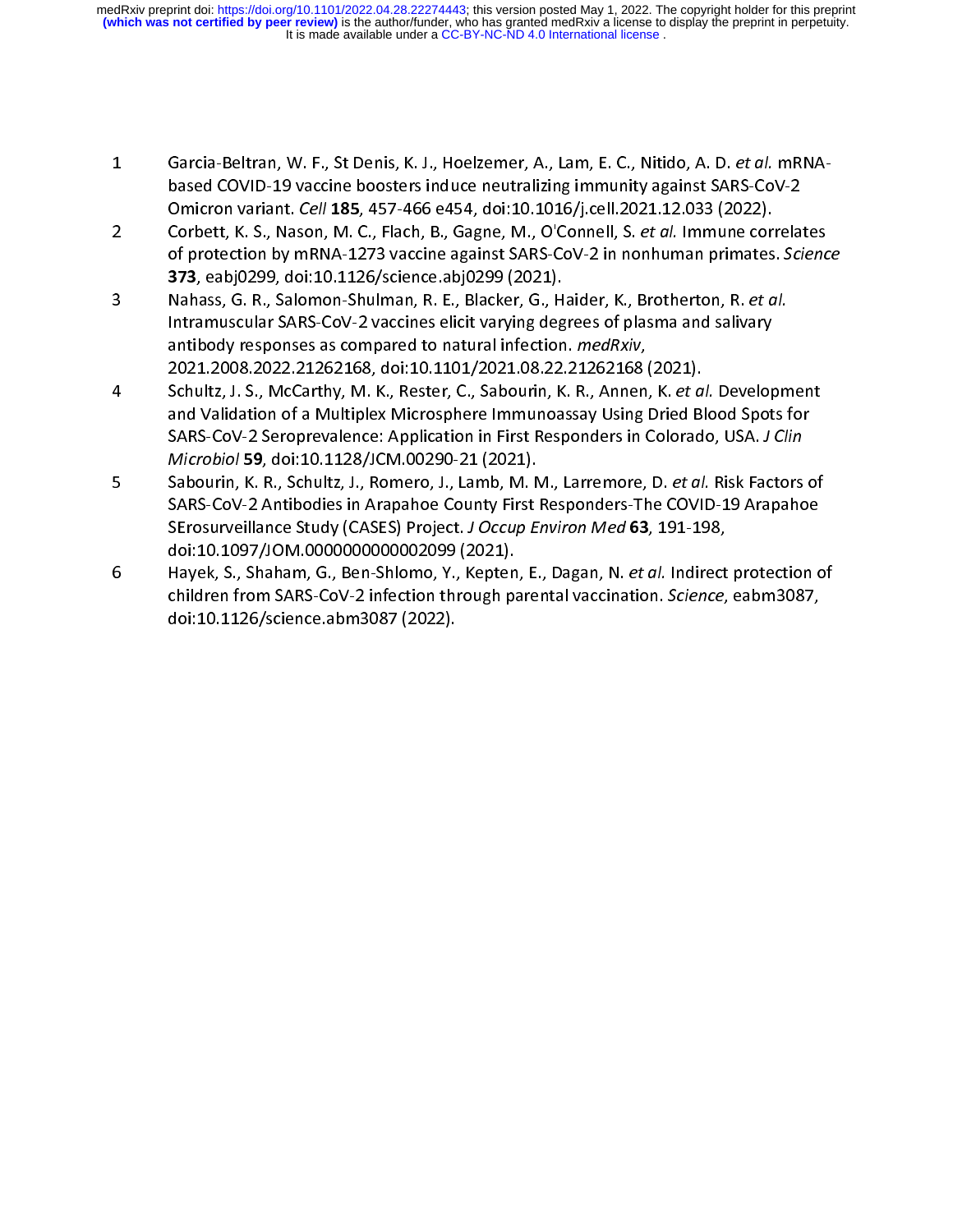It is made available under a [CC-BY-NC-ND 4.0 International license](http://creativecommons.org/licenses/by-nc-nd/4.0/) . **(which was not certified by peer review)** is the author/funder, who has granted medRxiv a license to display the preprint in perpetuity. medRxiv preprint doi: [https://doi.org/10.1101/2022.04.28.22274443;](https://doi.org/10.1101/2022.04.28.22274443) this version posted May 1, 2022. The copyright holder for this preprint

- 
- Garcia-Beltran, W. F., St Denis, K. J., Hoelzemer, A., Lam, E. C., Nitido, A. D. *et al.* mRNA-<br>based COVID-19 vaccine boosters induce neutralizing immunity against SARS-CoV-2<br>Omicron variant. *Cell* 185, 457-466 e454, doi Designation variant. Cell 185, 457-466 e454, doi:10.1016/j.cell.2021.12.033 (2022).<br>Corbett, K. S., Nason, M. C., Flach, B., Gagne, M., O'Connell, S. et al. Immune correlation by mRNA-1273 vaccine against SARS-CoV-2 in non
- Omicron variant. Cell 185, 457-466 e454, doi:10.1016/j.cell.2021.12.055 (2022).<br>Corbett, K. S., Nason, M. C., Flach, B., Gagne, M., O'Connell, S. *et al.* Immune cori<br>of protection by mRNA-1273 vaccine against SARS-CoV-2 i Corbett, K. S., Nason, M. C., Flach, B., Gagne, M., O'Connell, S. *et al.* Immune correlates<br>of protection by mRNA-1273 vaccine against SARS-CoV-2 in nonhuman primates. Scienc<br>**373**, eabj0299, doi:10.1126/science.abj0299 ( of protection by mining 1273 vaccine against SARS-CoV-2 in nonhuman primates. Science<br>373, eabj0299, doi:10.1126/science.abj0299 (2021).<br>Nahass, G. R., Salomon-Shulman, R. E., Blacker, G., Haider, K., Brotherton, R. et al. 373, eabjo299, doi:10.1120, science.abjo299 (2021).<br>Nahass, G. R., Salomon-Shulman, R. E., Blacker, G., H<br>Intramuscular SARS-CoV-2 vaccines elicit varying deg<br>antibody responses as compared to natural infection<br>2021.2008.2
- Mahass, G. R., Salomon-Shuman, R. E., Blacker, G., Halder, R., Brotherton, R. et al.<br>
Intramuscular SARS-CoV-2 vaccines elicit varying degrees of plasma and salivary<br>
antibody responses as compared to natural infection. *m* antibody responses as compared to natural infection. *medRxiv*,<br>2021.2008.2022.21262168, doi:10.1101/2021.08.22.21262168 (2021).<br>Schultz, J. S., McCarthy, M. K., Rester, C., Sabourin, K. R., Annen, K. *et al.* Develop<br>and antibody responses as compared to natural infection. *Incurally*,<br>2021.2008.2022.21262168, doi:10.1101/2021.08.22.21262168<br>Schultz, J. S., McCarthy, M. K., Rester, C., Sabourin, K. R., Annen<br>and Validation of a Multiplex M Schultz, J. S., McCarthy, M. K., Rester, C., Sabourin, K. R., Annen, K. *et a.*<br>and Validation of a Multiplex Microsphere Immunoassay Using Dried Bl<br>SARS-CoV-2 Seroprevalence: Application in First Responders in Colorad<br>*Mi*
- 3. S., McCarthy, M. K., Rester, C., Sabourin, K. K., Ameri, K. et al. Development<br>and Validation of a Multiplex Microsphere Immunoassay Using Dried Blood Spots for<br>SARS-CoV-2 Seroprevalence: Application in First Responders SARS-CoV-2 Seroprevalence: Application in First Responders in Colorado, USA. J Clin<br>Microbiol 59, doi:10.1128/JCM.00290-21 (2021).<br>Sabourin, K. R., Schultz, J., Romero, J., Lamb, M. M., Larremore, D. et al. Risk Factors of SARS-CoV-2 Seroprevalence: Application in First Responders in Colorado, OSA. J Clin<br>Microbiol 59, doi:10.1128/JCM.00290-21 (2021).<br>Sabourin, K. R., Schultz, J., Romero, J., Lamb, M. M., Larremore, D. et al. Risk Factors<br>SA Microbiol 59, doi:10.1128/JCMI.00250-21 (2021).<br>Sabourin, K. R., Schultz, J., Romero, J., Lamb, M. N<br>SARS-CoV-2 Antibodies in Arapahoe County First<br>SErosurveillance Study (CASES) Project. J Occup E<br>doi:10.1097/JOM.00000000 Sabourin, K. R., Schultz, J., Romero, J., Lamb, M. M., Larremore, D. et al. Risk Factors of<br>SARS-CoV-2 Antibodies in Arapahoe County First Responders-The COVID-19 Arapahoe<br>SErosurveillance Study (CASES) Project. J Occup En
- SErosurveillance Study (CASES) Project. J Occup Environ Med 63, 191-198,<br>doi:10.1097/JOM.0000000000002099 (2021).<br>Hayek, S., Shaham, G., Ben-Shlomo, Y., Kepten, E., Dagan, N. *et al.* Indirect protection c<br>children from SA SEROSURVEINING STUDSURENT DEVIDENTING MED 03, 151-158,<br>doi:10.1097/JOM.0000000000002099 (2021).<br>Hayek, S., Shaham, G., Ben-Shlomo, Y., Kepten, E., Dagan, N. *et al.* Indirect<br>children from SARS-CoV-2 infection through pare Hayek, S., Shaham, G., Ben-Shlomo, Y., Kepten<br>children from SARS-CoV-2 infection through pa<br>doi:10.1126/science.abm3087 (2022). hayek, S., Shaham, G., Ben-Shlomo, T., Repten, E., Dagan, N. et al. Indirect protection of<br>children from SARS-CoV-2 infection through parental vaccination. Science, eabm3087,<br>doi:10.1126/science.abm3087 (2022). children from SARS-CoV-2 infection through parental vaccination. Science, eabm3087,<br>doi:10.1126/science.abm3087 (2022).  $d = 10.11267$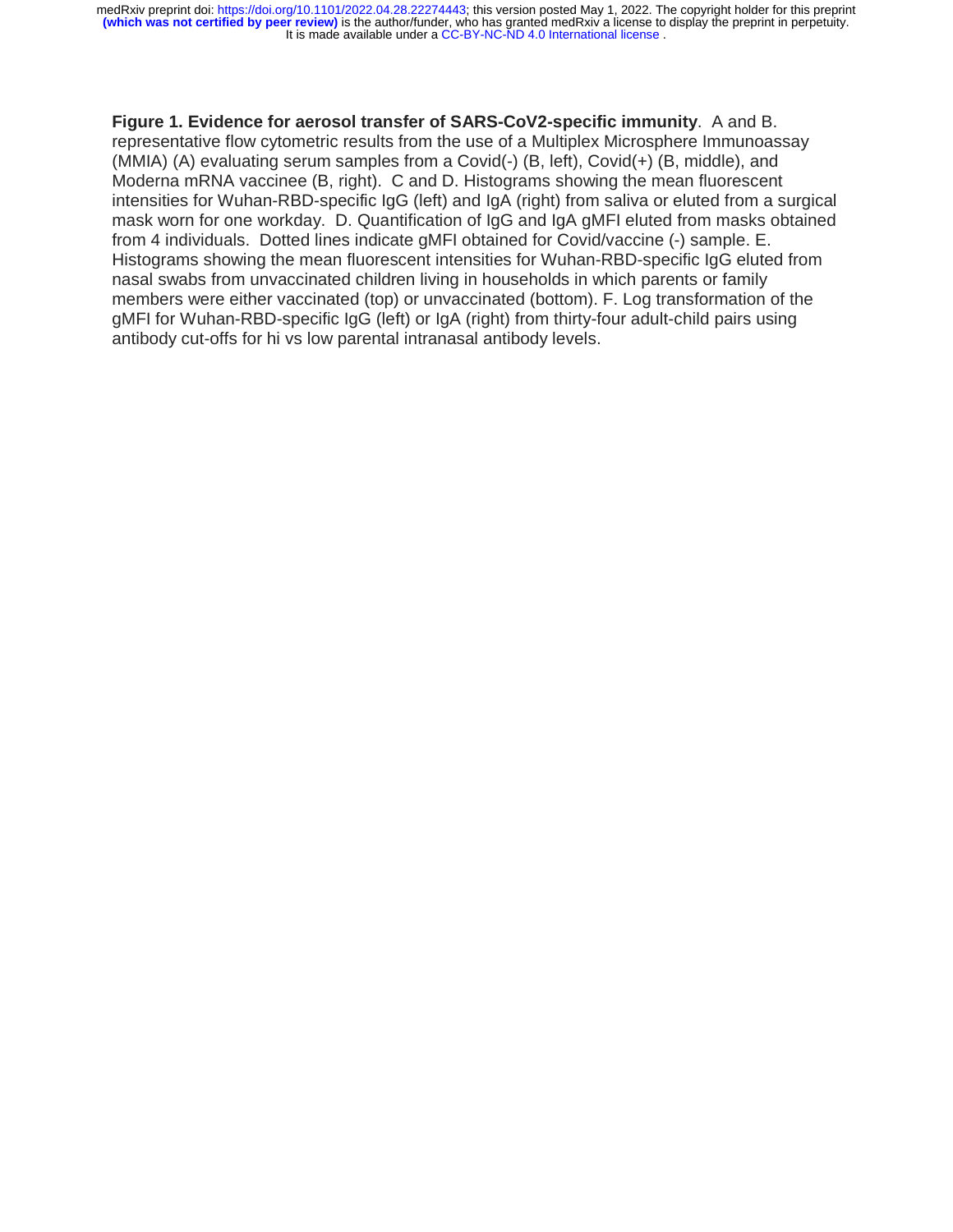It is made available under a [CC-BY-NC-ND 4.0 International license](http://creativecommons.org/licenses/by-nc-nd/4.0/) . **(which was not certified by peer review)** is the author/funder, who has granted medRxiv a license to display the preprint in perpetuity. medRxiv preprint doi: [https://doi.org/10.1101/2022.04.28.22274443;](https://doi.org/10.1101/2022.04.28.22274443) this version posted May 1, 2022. The copyright holder for this preprint

# **Figure 1. Evidence for aerosol transfer of SARS-CoV2-specific immunity**. A and B. representative flow cytometric results from the use of a Multiplex Microsphere Immunoassay (MMIA) (A) evaluating serum samples from a Covid(-) (B, left), Covid(+) (B, middle), and Moderna mRNA vaccinee (B, right). C and D. Histograms showing the mean fluorescent intensities for Wuhan-RBD-specific IgG (left) and IgA (right) from saliva or eluted from a surgical mask worn for one workday. D. Quantification of IgG and IgA gMFI eluted from masks obtained from 4 individuals. Dotted lines indicate gMFI obtained for Covid/vaccine (-) sample. E. Histograms showing the mean fluorescent intensities for Wuhan-RBD-specific IgG eluted from nasal swabs from unvaccinated children living in households in which parents or family members were either vaccinated (top) or unvaccinated (bottom). F. Log transformation of the gMFI for Wuhan-RBD-specific IgG (left) or IgA (right) from thirty-four adult-child pairs using antibody cut-offs for hi vs low parental intranasal antibody levels.